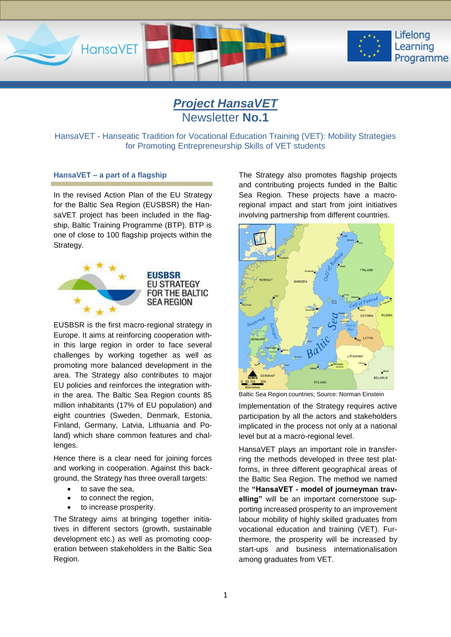

*Project HansaVET* Newsletter **No.1**

HansaVET - Hanseatic Tradition for Vocational Education Training (VET): Mobility Strategies for Promoting Entrepreneurship Skills of VET students

## **HansaVET – a part of a flagship**

In the revised Action Plan of the EU Strategy for the Baltic Sea Region (EUSBSR) the HansaVET project has been included in the flagship, Baltic Training Programme (BTP). BTP is one of close to 100 flagship projects within the Strategy.



EUSBSR is the first macro-regional strategy in Europe. It aims at reinforcing cooperation within this large region in order to face several challenges by working together as well as promoting more balanced development in the area. The Strategy also contributes to major EU policies and reinforces the integration within the area. The Baltic Sea Region counts 85 million inhabitants (17% of EU population) and eight countries (Sweden, Denmark, Estonia, Finland, Germany, Latvia, Lithuania and Poland) which share common features and chal-

Hence there is a clear need for joining forces and working in cooperation. Against this background, the Strategy has three overall targets:

• to save the sea.

lenges.

- to connect the region,
- to increase prosperity.

The Strategy aims at bringing together initiatives in different sectors (growth, sustainable development etc.) as well as promoting cooperation between stakeholders in the Baltic Sea Region.

The Strategy also promotes flagship projects and contributing projects funded in the Baltic Sea Region. These projects have a macroregional impact and start from joint initiatives involving partnership from different countries.



Baltic Sea Region countries; Source: Norman Einstein

Implementation of the Strategy requires active participation by all the actors and stakeholders implicated in the process not only at a national level but at a macro-regional level.

HansaVET plays an important role in transferring the methods developed in three test platforms, in three different geographical areas of the Baltic Sea Region. The method we named the **"HansaVET - model of journeyman travelling"** will be an important cornerstone supporting increased prosperity to an improvement labour mobility of highly skilled graduates from vocational education and training (VET). Furthermore, the prosperity will be increased by start-ups and business internationalisation among graduates from VET.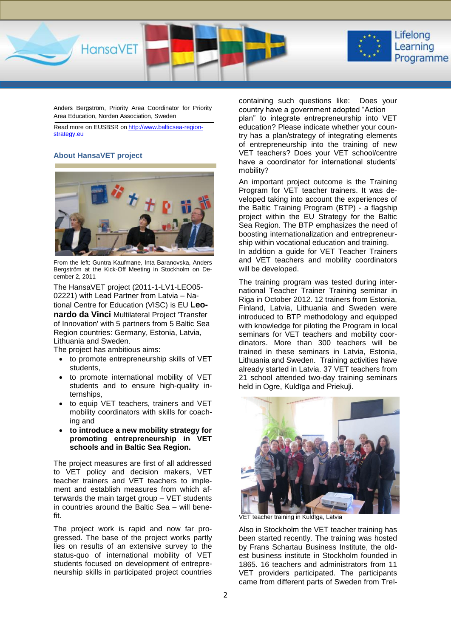

Anders Bergström, Priority Area Coordinator for Priority Area Education, Norden Association, Sweden

Read more on EUSBSR on [http://www.balticsea-region](http://www.balticsea-region-strategy.eu/)[strategy.eu](http://www.balticsea-region-strategy.eu/)

#### **About HansaVET project**



From the left: Guntra Kaufmane, Inta Baranovska, Anders Bergström at the Kick-Off Meeting in Stockholm on December 2, 2011

The HansaVET project (2011-1-LV1-LEO05- 02221) with Lead Partner from Latvia – National Centre for Education (VISC) is EU **Leonardo da Vinci** Multilateral Project 'Transfer of Innovation' with 5 partners from 5 Baltic Sea Region countries: Germany, Estonia, Latvia, Lithuania and Sweden.

The project has ambitious aims:

- to promote entrepreneurship skills of VET students,
- to promote international mobility of VET students and to ensure high-quality internships,
- to equip VET teachers, trainers and VET mobility coordinators with skills for coaching and
- **to introduce a new mobility strategy for promoting entrepreneurship in VET schools and in Baltic Sea Region.**

The project measures are first of all addressed to VET policy and decision makers, VET teacher trainers and VET teachers to implement and establish measures from which afterwards the main target group – VET students in countries around the Baltic Sea – will benefit.

The project work is rapid and now far progressed. The base of the project works partly lies on results of an extensive survey to the status-quo of international mobility of VET students focused on development of entrepreneurship skills in participated project countries

containing such questions like: Does your country have a government adopted "Action plan" to integrate entrepreneurship into VET education? Please indicate whether your country has a plan/strategy of integrating elements of entrepreneurship into the training of new VET teachers? Does your VET school/centre have a coordinator for international students' mobility?

An important project outcome is the Training Program for VET teacher trainers. It was developed taking into account the experiences of the Baltic Training Program (BTP) - a flagship project within the EU Strategy for the Baltic Sea Region. The BTP emphasizes the need of boosting internationalization and entrepreneurship within vocational education and training. In addition a guide for VET Teacher Trainers and VET teachers and mobility coordinators will be developed.

The training program was tested during international Teacher Trainer Training seminar in Riga in October 2012. 12 trainers from Estonia, Finland, Latvia, Lithuania and Sweden were introduced to BTP methodology and equipped with knowledge for piloting the Program in local seminars for VET teachers and mobility coordinators. More than 300 teachers will be trained in these seminars in Latvia, Estonia, Lithuania and Sweden. Training activities have already started in Latvia. 37 VET teachers from 21 school attended two-day training seminars held in Ogre, Kuldīga and Priekuļi.



VET teacher training in Kuldīga, Latvia

Also in Stockholm the VET teacher training has been started recently. The training was hosted by Frans Schartau Business Institute, the oldest business institute in Stockholm founded in 1865. 16 teachers and administrators from 11 VET providers participated. The participants came from different parts of Sweden from Trel-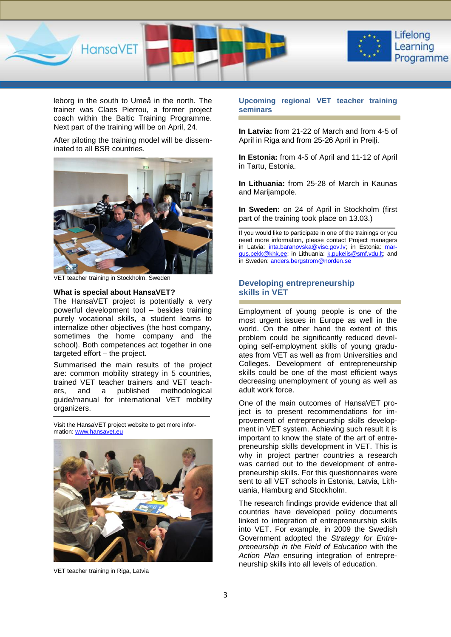

leborg in the south to Umeå in the north. The trainer was Claes Pierrou, a former project coach within the Baltic Training Programme. Next part of the training will be on April, 24.

After piloting the training model will be disseminated to all BSR countries.



VET teacher training in Stockholm, Sweden

#### **What is special about HansaVET?**

The HansaVET project is potentially a very powerful development tool – besides training purely vocational skills, a student learns to internalize other objectives (the host company, sometimes the home company and the school). Both competences act together in one targeted effort – the project.

Summarised the main results of the project are: common mobility strategy in 5 countries, trained VET teacher trainers and VET teachers, and a published methodological guide/manual for international VET mobility organizers.

Visit the HansaVET project website to get more infor-mation[: www.hansavet.eu](http://www.hansavet.eu/)



VET teacher training in Riga, Latvia

#### **Upcoming regional VET teacher training seminars**

**In Latvia:** from 21-22 of March and from 4-5 of April in Riga and from 25-26 April in Preiļi.

**In Estonia:** from 4-5 of April and 11-12 of April in Tartu, Estonia.

**In Lithuania:** from 25-28 of March in Kaunas and Marijampole.

**In Sweden:** on 24 of April in Stockholm (first part of the training took place on 13.03.)

If you would like to participate in one of the trainings or you need more information, please contact Project managers in Latvia: [inta.baranovska@visc.gov.lv;](mailto:inta.baranovska@visc.gov.lv) in Estonia: [mar](mailto:margus.pekk@khk.ee)[gus.pekk@khk.ee;](mailto:margus.pekk@khk.ee) in Lithuania: [k.pukelis@smf.vdu.lt;](mailto:k.pukelis@smf.vdu.lt) and in Sweden: [anders.bergstrom@norden.se](mailto:anders.bergstrom@norden.se)

## **Developing entrepreneurship skills in VET**

Employment of young people is one of the most urgent issues in Europe as well in the world. On the other hand the extent of this problem could be significantly reduced developing self-employment skills of young graduates from VET as well as from Universities and Colleges. Development of entrepreneurship skills could be one of the most efficient ways decreasing unemployment of young as well as adult work force.

One of the main outcomes of HansaVET project is to present recommendations for improvement of entrepreneurship skills development in VET system. Achieving such result it is important to know the state of the art of entrepreneurship skills development in VET. This is why in project partner countries a research was carried out to the development of entrepreneurship skills. For this questionnaires were sent to all VET schools in Estonia, Latvia, Lithuania, Hamburg and Stockholm.

The research findings provide evidence that all countries have developed policy documents linked to integration of entrepreneurship skills into VET. For example, in 2009 the Swedish Government adopted the *Strategy for Entrepreneurship in the Field of Education* with the *Action Plan* ensuring integration of entrepreneurship skills into all levels of education.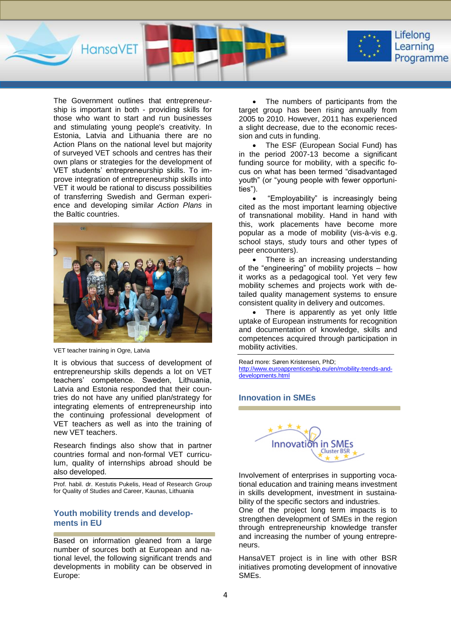

The Government outlines that entrepreneurship is important in both - providing skills for those who want to start and run businesses and stimulating young people's creativity. In Estonia, Latvia and Lithuania there are no Action Plans on the national level but majority of surveyed VET schools and centres has their own plans or strategies for the development of VET students' entrepreneurship skills. To improve integration of entrepreneurship skills into VET it would be rational to discuss possibilities of transferring Swedish and German experience and developing similar *Action Plans* in the Baltic countries.



VET teacher training in Ogre, Latvia

It is obvious that success of development of entrepreneurship skills depends a lot on VET teachers' competence. Sweden, Lithuania, Latvia and Estonia responded that their countries do not have any unified plan/strategy for integrating elements of entrepreneurship into the continuing professional development of VET teachers as well as into the training of new VET teachers.

Research findings also show that in partner countries formal and non-formal VET curriculum, quality of internships abroad should be also developed.

Prof. habil. dr. Kestutis Pukelis, Head of Research Group for Quality of Studies and Career, Kaunas, Lithuania

# **Youth mobility trends and developments in EU**

Based on information gleaned from a large number of sources both at European and national level, the following significant trends and developments in mobility can be observed in Europe:

 The numbers of participants from the target group has been rising annually from 2005 to 2010. However, 2011 has experienced a slight decrease, due to the economic recession and cuts in funding.

• The ESF (European Social Fund) has in the period 2007-13 become a significant funding source for mobility, with a specific focus on what has been termed "disadvantaged youth" (or "young people with fewer opportunities").

 "Employability" is increasingly being cited as the most important learning objective of transnational mobility. Hand in hand with this, work placements have become more popular as a mode of mobility (vis-à-vis e.g. school stays, study tours and other types of peer encounters).

 There is an increasing understanding of the "engineering" of mobility projects – how it works as a pedagogical tool. Yet very few mobility schemes and projects work with detailed quality management systems to ensure consistent quality in delivery and outcomes.

• There is apparently as yet only little uptake of European instruments for recognition and documentation of knowledge, skills and competences acquired through participation in mobility activities.

Read more: Søren Kristensen, PhD; [http://www.euroapprenticeship.eu/en/mobility-trends-and](http://www.euroapprenticeship.eu/en/mobility-trends-and-developments.html)[developments.html](http://www.euroapprenticeship.eu/en/mobility-trends-and-developments.html)

## **Innovation in SMEs**



Involvement of enterprises in supporting vocational education and training means investment in skills development, investment in sustainability of the specific sectors and industries.

One of the project long term impacts is to strengthen development of SMEs in the region through entrepreneurship knowledge transfer and increasing the number of young entrepreneurs.

HansaVET project is in line with other BSR initiatives promoting development of innovative SMEs.